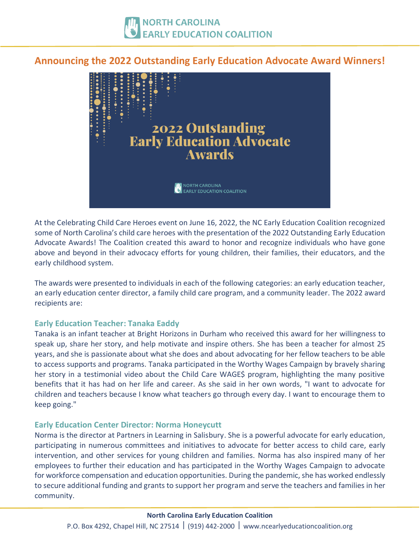# **Announcing the 2022 Outstanding Early Education Advocate Award Winners!**



At the Celebrating Child Care Heroes event on June 16, 2022, the NC Early Education Coalition recognized some of North Carolina's child care heroes with the presentation of the 2022 Outstanding Early Education Advocate Awards! The Coalition created this award to honor and recognize individuals who have gone above and beyond in their advocacy efforts for young children, their families, their educators, and the early childhood system.

The awards were presented to individuals in each of the following categories: an early education teacher, an early education center director, a family child care program, and a community leader. The 2022 award recipients are:

## **Early Education Teacher: Tanaka Eaddy**

Tanaka is an infant teacher at Bright Horizons in Durham who received this award for her willingness to speak up, share her story, and help motivate and inspire others. She has been a teacher for almost 25 years, and she is passionate about what she does and about advocating for her fellow teachers to be able to access supports and programs. Tanaka participated in the Worthy Wages Campaign by bravely sharing her story in a testimonial video about the Child Care WAGE\$ program, highlighting the many positive benefits that it has had on her life and career. As she said in her own words, "I want to advocate for children and teachers because I know what teachers go through every day. I want to encourage them to keep going."

## **Early Education Center Director: Norma Honeycutt**

Norma is the director at Partners in Learning in Salisbury. She is a powerful advocate for early education, participating in numerous committees and initiatives to advocate for better access to child care, early intervention, and other services for young children and families. Norma has also inspired many of her employees to further their education and has participated in the Worthy Wages Campaign to advocate for workforce compensation and education opportunities. During the pandemic, she has worked endlessly to secure additional funding and grants to support her program and serve the teachers and families in her community.